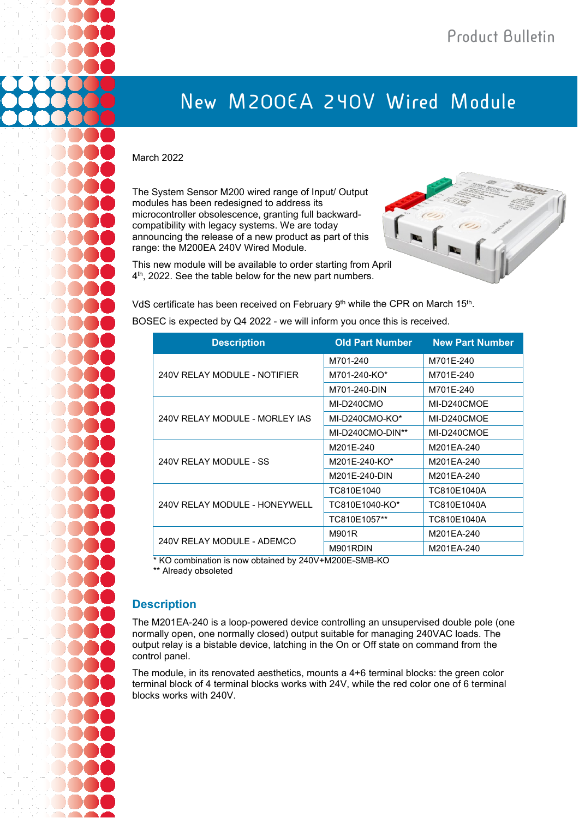## **New M200EA 240V Wired Module**

## March 2022

The System Sensor M200 wired range of Input/ Output modules has been redesigned to address its microcontroller obsolescence, granting full backwardcompatibility with legacy systems. We are today announcing the release of a new product as part of this range: the M200EA 240V Wired Module.



This new module will be available to order starting from April 4<sup>th</sup>, 2022. See the table below for the new part numbers.

VdS certificate has been received on February 9<sup>th</sup> while the CPR on March 15<sup>th</sup>. BOSEC is expected by Q4 2022 - we will inform you once this is received.

| <b>Description</b>             | <b>Old Part Number</b> | <b>New Part Number</b> |
|--------------------------------|------------------------|------------------------|
| 240V RELAY MODULE - NOTIFIER   | M701-240               | M701E-240              |
|                                | M701-240-KO*           | M701E-240              |
|                                | M701-240-DIN           | M701E-240              |
| 240V RELAY MODULE - MORLEY IAS | MI-D240CMO             | MI-D240CMOE            |
|                                | MI-D240CMO-KO*         | MI-D240CMOE            |
|                                | MI-D240CMO-DIN**       | MI-D240CMOE            |
| 240V RELAY MODULE - SS         | M201E-240              | M201EA-240             |
|                                | M201E-240-KO*          | M201EA-240             |
|                                | M201E-240-DIN          | M201EA-240             |
| 240V RELAY MODULE - HONEYWELL  | TC810E1040             | TC810E1040A            |
|                                | TC810E1040-KO*         | TC810E1040A            |
|                                | TC810E1057**           | TC810E1040A            |
| 240V RELAY MODULE - ADEMCO     | M901R                  | M201EA-240             |
|                                | M901RDIN               | M201EA-240             |

\* KO combination is now obtained by 240V+M200E-SMB-KO

\*\* Already obsoleted

## **Description**

The M201EA-240 is a loop-powered device controlling an unsupervised double pole (one normally open, one normally closed) output suitable for managing 240VAC loads. The output relay is a bistable device, latching in the On or Off state on command from the control panel.

The module, in its renovated aesthetics, mounts a 4+6 terminal blocks: the green color terminal block of 4 terminal blocks works with 24V, while the red color one of 6 terminal blocks works with 240V.